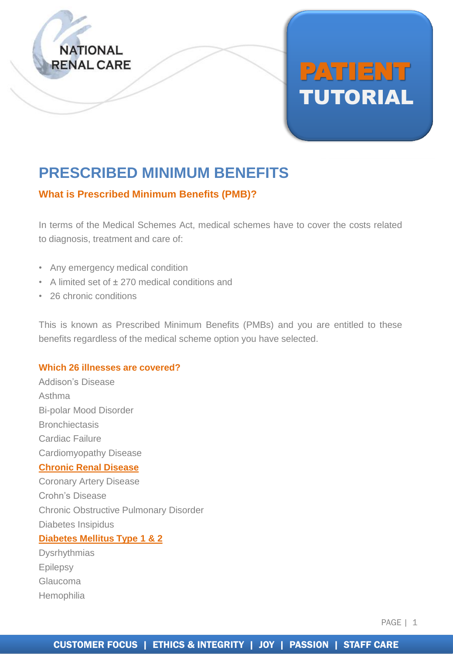

# PATIENT TUTORIAL

# **PRESCRIBED MINIMUM BENEFITS**

# **What is Prescribed Minimum Benefits (PMB)?**

In terms of the Medical Schemes Act, medical schemes have to cover the costs related to diagnosis, treatment and care of:

- Any emergency medical condition
- A limited set of ± 270 medical conditions and
- 26 chronic conditions

This is known as Prescribed Minimum Benefits (PMBs) and you are entitled to these benefits regardless of the medical scheme option you have selected.

# **Which 26 illnesses are covered?**

Addison's Disease Asthma Bi-polar Mood Disorder **Bronchiectasis** Cardiac Failure Cardiomyopathy Disease **Chronic Renal Disease** Coronary Artery Disease Crohn's Disease Chronic Obstructive Pulmonary Disorder Diabetes Insipidus **Diabetes Mellitus Type 1 & 2**

Dysrhythmias Epilepsy Glaucoma Hemophilia

PAGE | 1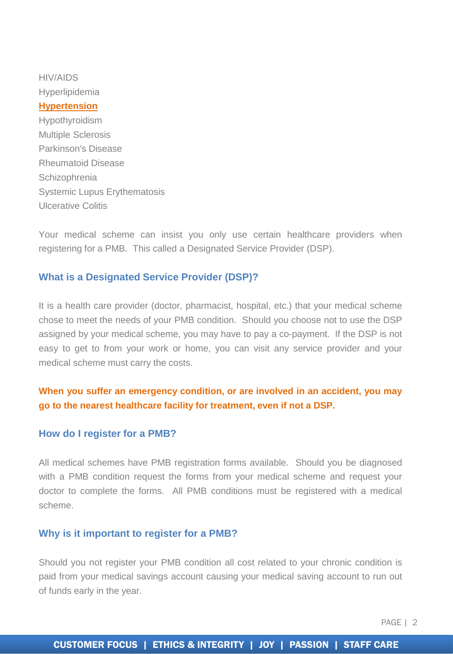# HIV/AIDS Hyperlipidemia

#### **Hypertension**

Hypothyroidism Multiple Sclerosis Parkinson's Disease Rheumatoid Disease **Schizophrenia** Systemic Lupus Erythematosis Ulcerative Colitis

Your medical scheme can insist you only use certain healthcare providers when registering for a PMB. This called a Designated Service Provider (DSP).

# **What is a Designated Service Provider (DSP)?**

It is a health care provider (doctor, pharmacist, hospital, etc.) that your medical scheme chose to meet the needs of your PMB condition. Should you choose not to use the DSP assigned by your medical scheme, you may have to pay a co-payment. If the DSP is not easy to get to from your work or home, you can visit any service provider and your medical scheme must carry the costs.

# **When you suffer an emergency condition, or are involved in an accident, you may go to the nearest healthcare facility for treatment, even if not a DSP.**

#### **How do I register for a PMB?**

All medical schemes have PMB registration forms available. Should you be diagnosed with a PMB condition request the forms from your medical scheme and request your doctor to complete the forms. All PMB conditions must be registered with a medical scheme.

# **Why is it important to register for a PMB?**

Should you not register your PMB condition all cost related to your chronic condition is paid from your medical savings account causing your medical saving account to run out of funds early in the year.

PAGE | 2